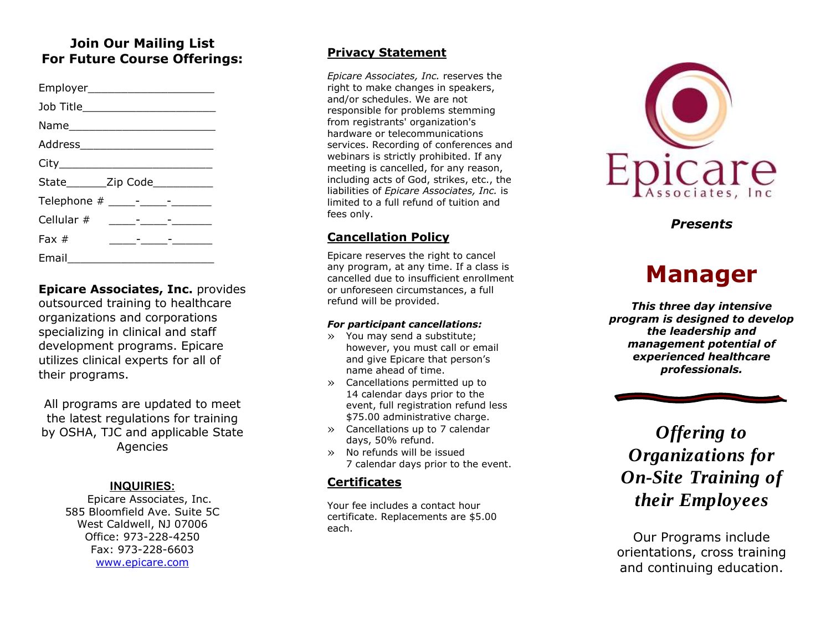### **Join Our Mailing List For Future Course Offerings:**

| Employer_________________________  |                                                                                                                        |  |
|------------------------------------|------------------------------------------------------------------------------------------------------------------------|--|
| Job Title_________________________ |                                                                                                                        |  |
|                                    |                                                                                                                        |  |
|                                    |                                                                                                                        |  |
|                                    |                                                                                                                        |  |
| State________Zip Code___________   |                                                                                                                        |  |
|                                    |                                                                                                                        |  |
|                                    |                                                                                                                        |  |
| Fax $#$                            | <u> 1989 - Alexandr Alexandr Alexandr Alexandr Alexandr Alexandr Alexandr Alexandr Alexandr Alexandr Alexandr Alex</u> |  |
| Email $\_\_$                       |                                                                                                                        |  |

**Epicare Associates, Inc.** provides outsourced training to healthcare organizations and corporations specializing in clinical and staff development programs. Epicare utilizes clinical experts for all of their programs.

All programs are updated to meet the latest regulations for training by OSHA, TJC and applicable State Agencies

### **INQUIRIES :**

Epicare Associates, Inc. 585 Bloomfield Ave. Suite 5C West Caldwell, NJ 07006 Office: 973 -228 -4250 Fax: 973 -228 -6603 [www.epicare.com](http://www.epicare.com/)

### **Privacy Statement**

*Epicare Associates, Inc.* reserves the right to make changes in speakers, and/or schedules. We are not responsible for problems stemming from registrants' organization's hardware or telecommunications services. Recording of conferences and webinars is strictly prohibited. If any meeting is cancelled, for any reason, including acts of God, strikes, etc., the liabilities of *Epicare Associates, Inc.* is limited to a full refund of tuition and fees only.

### **Cancellation Policy**

Epicare reserves the right to cancel any program, at any time. If a class is cancelled due to insufficient enrollment or unforeseen circumstances, a full refund will be provided.

#### *For participant cancellations:*

- » You may send a substitute; however, you must call or email and give Epicare that person's name ahead of time.
- » Cancellations permitted up to 14 calendar days prior to the event, full registration refund less \$75.00 administrative charge.
- » Cancellations up to 7 calendar days, 50% refund.
- » No refunds will be issued 7 calendar days prior to the event.

### **Certificates**

Your fee includes a contact hour certificate. Replacements are \$5.00 each.



*Presents*

# **Manager**

*This three day intensive program is designed to develop the leadership and management potential of experienced healthcare professionals.*

*Offering to Organizations for On -Site Training of their Employees*

Our Programs include orientation s, cross training and continuing education.